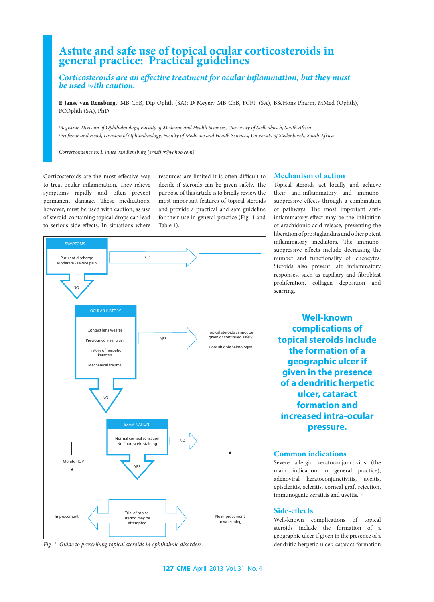# **Astute and safe use of topical ocular corticosteroids in general practice: Practical guidelines**

*Corticosteroids are an effective treatment for ocular inflammation, but they must be used with caution.*

**E Janse van Rensburg,**<sup>1</sup> MB ChB, Dip Ophth (SA); **D Meyer,**<sup>2</sup> MB ChB, FCFP (SA), BScHons Pharm, MMed (Ophth), FCOphth (SA), PhD

*1 Registrar, Division of Ophthalmology, Faculty of Medicine and Health Sciences, University of Stellenbosch, South Africa 2 Professor and Head, Division of Ophthalmology, Faculty of Medicine and Health Sciences, University of Stellenbosch, South Africa*

*Correspondence to: E Janse van Rensburg (ernstjvr@yahoo.com)*

Corticosteroids are the most effective way to treat ocular inflammation. They relieve symptoms rapidly and often prevent permanent damage. These medications, however, must be used with caution, as use of steroid-containing topical drops can lead to serious side-effects. In situations where

resources are limited it is often difficult to decide if steroids can be given safely. The purpose of this article is to briefly review the most important features of topical steroids and provide a practical and safe guideline for their use in general practice (Fig. 1 and Table 1).



*Fig. 1. Guide to prescribing topical steroids in ophthalmic disorders.*

#### **Mechanism of action**

Topical steroids act locally and achieve their anti-inflammatory and immunosuppressive effects through a combination of pathways. The most important antiinflammatory effect may be the inhibition of arachidonic acid release, preventing the liberation of prostaglandins and other potent inflammatory mediators. The immunosuppressive effects include decreasing the number and functionality of leucocytes. Steroids also prevent late inflammatory responses, such as capillary and fibroblast proliferation, collagen deposition and scarring.

**Well-known complications of topical steroids include the formation of a geographic ulcer if given in the presence of a dendritic herpetic ulcer, cataract formation and increased intra-ocular pressure.**

### **Common indications**

Severe allergic keratoconjunctivitis (the main indication in general practice), adenoviral keratoconjunctivitis, uveitis, episcleritis, scleritis, corneal graft rejection, immunogenic keratitis and uveitis.[1,2]

#### **Side-effects**

Well-known complications of topical steroids include the formation of a geographic ulcer if given in the presence of a dendritic herpetic ulcer, cataract formation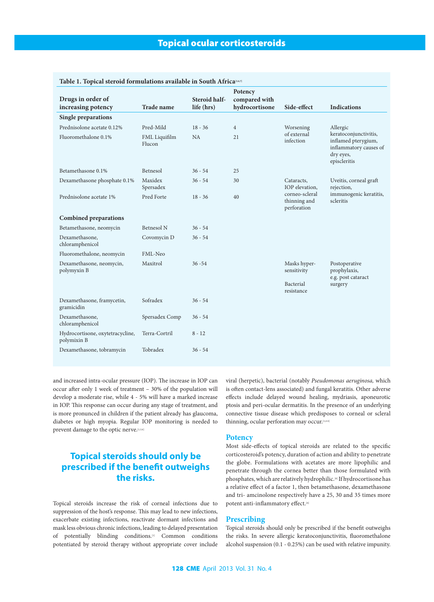| Table 1. Topical steroid formulations available in South Africa [3,6,7] |                         |                             |                                 |                                                                               |                                                                                                     |
|-------------------------------------------------------------------------|-------------------------|-----------------------------|---------------------------------|-------------------------------------------------------------------------------|-----------------------------------------------------------------------------------------------------|
|                                                                         |                         |                             | Potency                         |                                                                               |                                                                                                     |
| Drugs in order of<br>increasing potency                                 | <b>Trade name</b>       | Steroid half-<br>life (hrs) | compared with<br>hydrocortisone | Side-effect                                                                   | <b>Indications</b>                                                                                  |
| <b>Single preparations</b>                                              |                         |                             |                                 |                                                                               |                                                                                                     |
| Prednisolone acetate 0.12%                                              | Pred-Mild               | $18 - 36$                   | $\overline{4}$                  | Worsening                                                                     | Allergic                                                                                            |
| Fluoromethalone 0.1%                                                    | FML Liquifilm<br>Flucon | <b>NA</b>                   | 21                              | of external<br>infection                                                      | keratoconjunctivitis,<br>inflamed pterygium,<br>inflammatory causes of<br>dry eyes,<br>episcleritis |
| Betamethasone 0.1%                                                      | Betnesol                | $36 - 54$                   | 25                              |                                                                               |                                                                                                     |
| Dexamethasone phosphate 0.1%                                            | Maxidex<br>Spersadex    | $36 - 54$                   | 30                              | Cataracts,<br>IOP elevation,<br>corneo-scleral<br>thinning and<br>perforation | Uveitis, corneal graft<br>rejection,<br>immunogenic keratitis,<br>scleritis                         |
| Prednisolone acetate 1%                                                 | Pred Forte              | $18 - 36$                   | 40                              |                                                                               |                                                                                                     |
| <b>Combined preparations</b>                                            |                         |                             |                                 |                                                                               |                                                                                                     |
| Betamethasone, neomycin                                                 | <b>Betnesol N</b>       | $36 - 54$                   |                                 |                                                                               |                                                                                                     |
| Dexamethasone,<br>chloramphenicol                                       | Covomycin D             | $36 - 54$                   |                                 |                                                                               |                                                                                                     |
| Fluoromethalone, neomycin                                               | FML-Neo                 |                             |                                 |                                                                               |                                                                                                     |
| Dexamethasone, neomycin,<br>polymyxin B                                 | Maxitrol                | $36 - 54$                   |                                 | Masks hyper-<br>sensitivity                                                   | Postoperative<br>prophylaxis,<br>e.g. post cataract<br>surgery                                      |
|                                                                         |                         |                             |                                 | Bacterial<br>resistance                                                       |                                                                                                     |
| Dexamethasone, framycetin,<br>gramicidin                                | Sofradex                | $36 - 54$                   |                                 |                                                                               |                                                                                                     |
| Dexamethasone,<br>chloramphenicol                                       | Spersadex Comp          | $36 - 54$                   |                                 |                                                                               |                                                                                                     |
| Hydrocortisone, oxytetracycline,<br>polymixin B                         | Terra-Cortril           | $8 - 12$                    |                                 |                                                                               |                                                                                                     |
| Dexamethasone, tobramycin                                               | Tobradex                | $36 - 54$                   |                                 |                                                                               |                                                                                                     |

and increased intra-ocular pressure (IOP). The increase in IOP can occur after only 1 week of treatment – 30% of the population will develop a moderate rise, while 4 - 5% will have a marked increase in IOP. This response can occur during any stage of treatment, and is more pronunced in children if the patient already has glaucoma, diabetes or high myopia. Regular IOP monitoring is needed to prevent damage to the optic nerve.[1,3,4]

## **Topical steroids should only be prescribed if the benefit outweighs the risks.**

Topical steroids increase the risk of corneal infections due to suppression of the host's response. This may lead to new infections, exacerbate existing infections, reactivate dormant infections and mask less obvious chronic infections, leading to delayed presentation of potentially blinding conditions.[1] Common conditions potentiated by steroid therapy without appropriate cover include viral (herpetic), bacterial (notably *Pseudomonas aeruginosa,* which is often contact-lens associated) and fungal keratitis. Other adverse effects include delayed wound healing, mydriasis, aponeurotic ptosis and peri-ocular dermatitis. In the presence of an underlying connective tissue disease which predisposes to corneal or scleral thinning, ocular perforation may occur.[1,4-6]

#### **Potency**

Most side-effects of topical steroids are related to the specific corticosteroid's potency, duration of action and ability to penetrate the globe. Formulations with acetates are more lipophilic and penetrate through the cornea better than those formulated with phosphates, which are relatively hydrophilic.<sup>[6]</sup> If hydrocortisone has a relative effect of a factor 1, then betamethasone, dexamethasone and tri- amcinolone respectively have a 25, 30 and 35 times more potent anti-inflammatory effect.<sup>[6]</sup>

### **Prescribing**

Topical steroids should only be prescribed if the benefit outweighs the risks. In severe allergic keratoconjunctivitis, fluoromethalone alcohol suspension (0.1 - 0.25%) can be used with relative impunity.